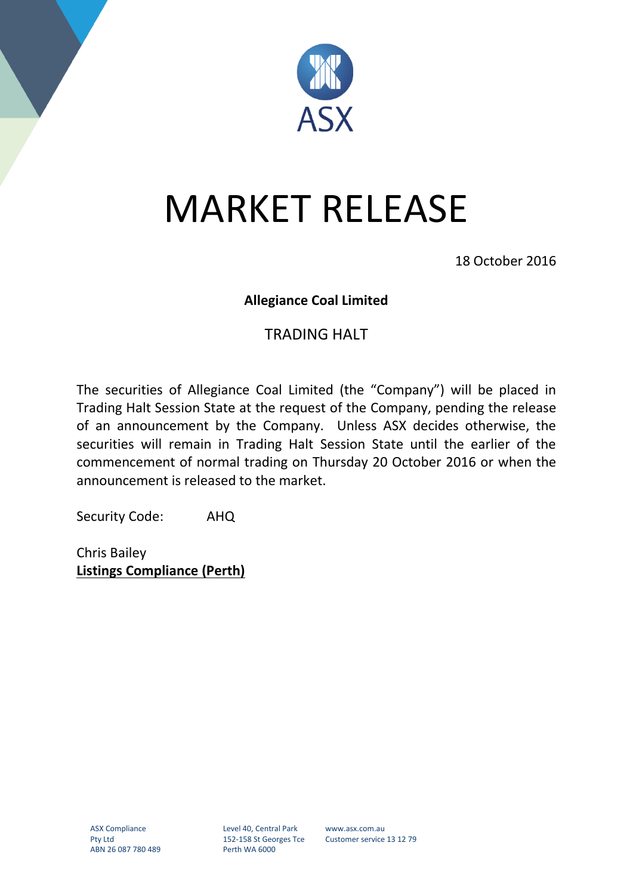

## MARKET RELEASE

18 October 2016

## **Allegiance Coal Limited**

## TRADING HALT

The securities of Allegiance Coal Limited (the "Company") will be placed in Trading Halt Session State at the request of the Company, pending the release of an announcement by the Company. Unless ASX decides otherwise, the securities will remain in Trading Halt Session State until the earlier of the commencement of normal trading on Thursday 20 October 2016 or when the announcement is released to the market.

Security Code: AHQ

Chris Bailey **Listings Compliance (Perth)**

Level 40, Central Park 152-158 St Georges Tce Perth WA 6000

www.asx.com.au Customer service 13 12 79